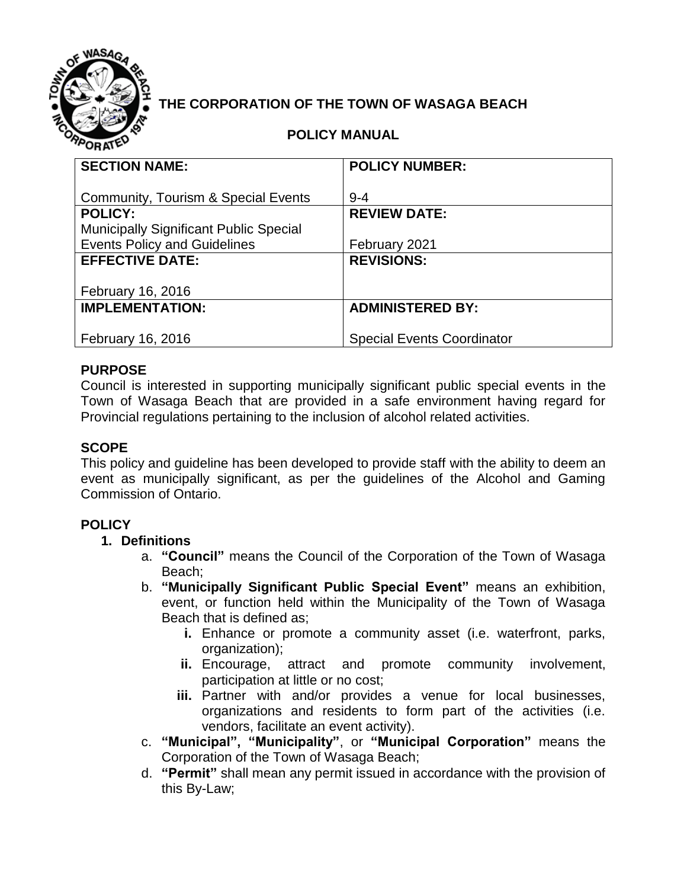

# **THE CORPORATION OF THE TOWN OF WASAGA BEACH**

### **POLICY MANUAL**

| <b>SECTION NAME:</b>                          | <b>POLICY NUMBER:</b>             |
|-----------------------------------------------|-----------------------------------|
|                                               |                                   |
| Community, Tourism & Special Events           | $9 - 4$                           |
| <b>POLICY:</b>                                | <b>REVIEW DATE:</b>               |
| <b>Municipally Significant Public Special</b> |                                   |
| <b>Events Policy and Guidelines</b>           | February 2021                     |
| <b>EFFECTIVE DATE:</b>                        | <b>REVISIONS:</b>                 |
|                                               |                                   |
| February 16, 2016                             |                                   |
| <b>IMPLEMENTATION:</b>                        | <b>ADMINISTERED BY:</b>           |
|                                               |                                   |
| <b>February 16, 2016</b>                      | <b>Special Events Coordinator</b> |

### **PURPOSE**

Council is interested in supporting municipally significant public special events in the Town of Wasaga Beach that are provided in a safe environment having regard for Provincial regulations pertaining to the inclusion of alcohol related activities.

#### **SCOPE**

This policy and guideline has been developed to provide staff with the ability to deem an event as municipally significant, as per the guidelines of the Alcohol and Gaming Commission of Ontario.

### **POLICY**

#### **1. Definitions**

- a. **"Council"** means the Council of the Corporation of the Town of Wasaga Beach;
- b. **"Municipally Significant Public Special Event"** means an exhibition, event, or function held within the Municipality of the Town of Wasaga Beach that is defined as;
	- **i.** Enhance or promote a community asset (i.e. waterfront, parks, organization);
	- **ii.** Encourage, attract and promote community involvement, participation at little or no cost;
	- **iii.** Partner with and/or provides a venue for local businesses, organizations and residents to form part of the activities (i.e. vendors, facilitate an event activity).
- c. **"Municipal", "Municipality"**, or **"Municipal Corporation"** means the Corporation of the Town of Wasaga Beach;
- d. **"Permit"** shall mean any permit issued in accordance with the provision of this By-Law;